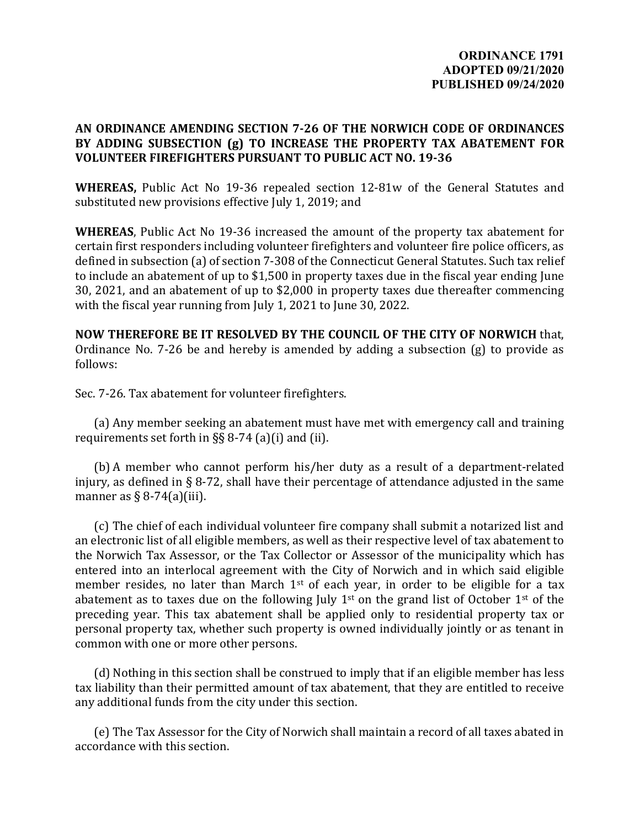## **AN ORDINANCE AMENDING SECTION 7-26 OF THE NORWICH CODE OF ORDINANCES BY ADDING SUBSECTION (g) TO INCREASE THE PROPERTY TAX ABATEMENT FOR VOLUNTEER FIREFIGHTERS PURSUANT TO PUBLIC ACT NO. 19-36**

**WHEREAS,** Public Act No 19-36 repealed section 12-81w of the General Statutes and substituted new provisions effective July 1, 2019; and

**WHEREAS**, Public Act No 19-36 increased the amount of the property tax abatement for certain first responders including volunteer firefighters and volunteer fire police officers, as defined in subsection (a) of section 7-308 of the Connecticut General Statutes. Such tax relief to include an abatement of up to \$1,500 in property taxes due in the fiscal year ending June 30, 2021, and an abatement of up to \$2,000 in property taxes due thereafter commencing with the fiscal year running from July 1, 2021 to June 30, 2022.

**NOW THEREFORE BE IT RESOLVED BY THE COUNCIL OF THE CITY OF NORWICH** that, Ordinance No. 7-26 be and hereby is amended by adding a subsection (g) to provide as follows:

Sec. 7-26. Tax abatement for volunteer firefighters.

(a) Any member seeking an abatement must have met with emergency call and training requirements set forth in §§ 8-74 (a)(i) and (ii).

(b) A member who cannot perform his/her duty as a result of a department-related injury, as defined in § 8-72, shall have their percentage of attendance adjusted in the same manner as  $\S$  8-74(a)(iii).

(c) The chief of each individual volunteer fire company shall submit a notarized list and an electronic list of all eligible members, as well as their respective level of tax abatement to the Norwich Tax Assessor, or the Tax Collector or Assessor of the municipality which has entered into an interlocal agreement with the City of Norwich and in which said eligible member resides, no later than March  $1<sup>st</sup>$  of each year, in order to be eligible for a tax abatement as to taxes due on the following July  $1<sup>st</sup>$  on the grand list of October  $1<sup>st</sup>$  of the preceding year. This tax abatement shall be applied only to residential property tax or personal property tax, whether such property is owned individually jointly or as tenant in common with one or more other persons.

(d) Nothing in this section shall be construed to imply that if an eligible member has less tax liability than their permitted amount of tax abatement, that they are entitled to receive any additional funds from the city under this section.

(e) The Tax Assessor for the City of Norwich shall maintain a record of all taxes abated in accordance with this section.